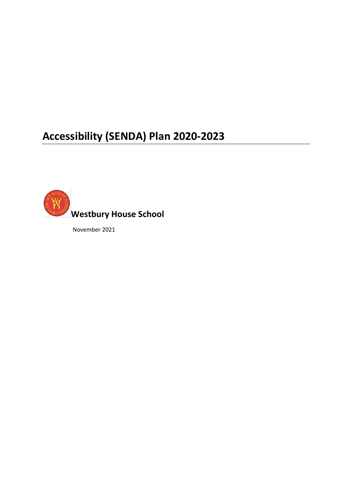# **Accessibility (SENDA) Plan 2020-2023**



November 2021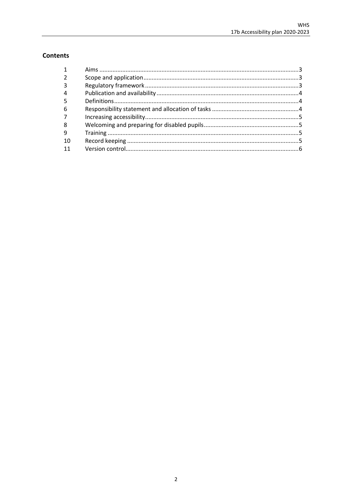# **Contents**

| 3  |  |
|----|--|
| 4  |  |
|    |  |
| 6  |  |
|    |  |
| 8  |  |
| -9 |  |
| 10 |  |
|    |  |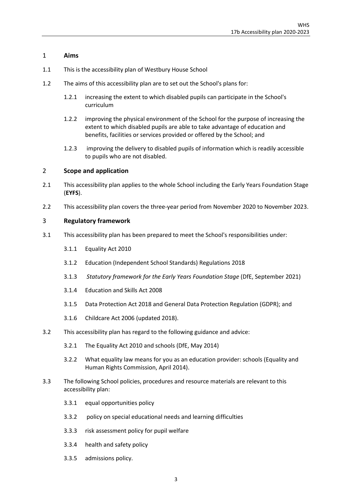#### <span id="page-2-0"></span>1 **Aims**

- 1.1 This is the accessibility plan of Westbury House School
- 1.2 The aims of this accessibility plan are to set out the School's plans for:
	- 1.2.1 increasing the extent to which disabled pupils can participate in the School's curriculum
	- 1.2.2 improving the physical environment of the School for the purpose of increasing the extent to which disabled pupils are able to take advantage of education and benefits, facilities or services provided or offered by the School; and
	- 1.2.3 improving the delivery to disabled pupils of information which is readily accessible to pupils who are not disabled.

#### <span id="page-2-1"></span>2 **Scope and application**

- 2.1 This accessibility plan applies to the whole School including the Early Years Foundation Stage (**EYFS**).
- 2.2 This accessibility plan covers the three-year period from November 2020 to November 2023.

#### <span id="page-2-2"></span>3 **Regulatory framework**

- 3.1 This accessibility plan has been prepared to meet the School's responsibilities under:
	- 3.1.1 Equality Act 2010
	- 3.1.2 Education (Independent School Standards) Regulations 2018
	- 3.1.3 *Statutory framework for the Early Years Foundation Stage* (DfE, September 2021)
	- 3.1.4 Education and Skills Act 2008
	- 3.1.5 Data Protection Act 2018 and General Data Protection Regulation (GDPR); and
	- 3.1.6 Childcare Act 2006 (updated 2018).
- 3.2 This accessibility plan has regard to the following guidance and advice:
	- 3.2.1 [The Equality Act 2010 and schools \(DfE, May 2014\)](https://www.gov.uk/government/uploads/system/uploads/attachment_data/file/315587/Equality_Act_Advice_Final.pdf)
	- 3.2.2 [What equality law means for you as an education provider: schools \(Equality and](https://www.equalityhumanrights.com/sites/default/files/what_equality_law_means_for_you_as_an_education_provider_schools.pdf)  [Human Rights Commission, April 2014\).](https://www.equalityhumanrights.com/sites/default/files/what_equality_law_means_for_you_as_an_education_provider_schools.pdf)
- 3.3 The following School policies, procedures and resource materials are relevant to this accessibility plan:
	- 3.3.1 equal opportunities policy
	- 3.3.2 policy on special educational needs and learning difficulties
	- 3.3.3 risk assessment policy for pupil welfare
	- 3.3.4 health and safety policy
	- 3.3.5 admissions policy.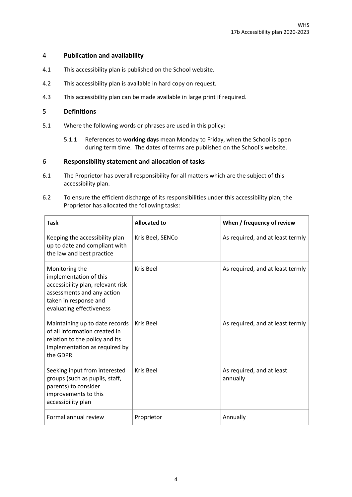#### <span id="page-3-0"></span>4 **Publication and availability**

- 4.1 This accessibility plan is published on the School website.
- 4.2 This accessibility plan is available in hard copy on request.
- 4.3 This accessibility plan can be made available in large print if required.

#### <span id="page-3-1"></span>5 **Definitions**

- 5.1 Where the following words or phrases are used in this policy:
	- 5.1.1 References to **working days** mean Monday to Friday, when the School is open during term time. The dates of terms are published on the School's website.

#### <span id="page-3-2"></span>6 **Responsibility statement and allocation of tasks**

- 6.1 The Proprietor has overall responsibility for all matters which are the subject of this accessibility plan.
- 6.2 To ensure the efficient discharge of its responsibilities under this accessibility plan, the Proprietor has allocated the following tasks:

| <b>Task</b>                                                                                                                                                      | <b>Allocated to</b> | When / frequency of review            |  |
|------------------------------------------------------------------------------------------------------------------------------------------------------------------|---------------------|---------------------------------------|--|
| Keeping the accessibility plan<br>up to date and compliant with<br>the law and best practice                                                                     | Kris Beel, SENCo    | As required, and at least termly      |  |
| Monitoring the<br>implementation of this<br>accessibility plan, relevant risk<br>assessments and any action<br>taken in response and<br>evaluating effectiveness | Kris Beel           | As required, and at least termly      |  |
| Maintaining up to date records<br>of all information created in<br>relation to the policy and its<br>implementation as required by<br>the GDPR                   | Kris Beel           | As required, and at least termly      |  |
| Seeking input from interested<br>groups (such as pupils, staff,<br>parents) to consider<br>improvements to this<br>accessibility plan                            | Kris Beel           | As required, and at least<br>annually |  |
| Formal annual review                                                                                                                                             | Proprietor          | Annually                              |  |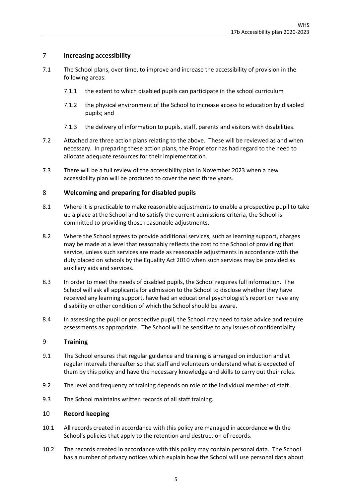## <span id="page-4-0"></span>7 **Increasing accessibility**

- 7.1 The School plans, over time, to improve and increase the accessibility of provision in the following areas:
	- 7.1.1 the extent to which disabled pupils can participate in the school curriculum
	- 7.1.2 the physical environment of the School to increase access to education by disabled pupils; and
	- 7.1.3 the delivery of information to pupils, staff, parents and visitors with disabilities.
- 7.2 Attached are three action plans relating to the above. These will be reviewed as and when necessary. In preparing these action plans, the Proprietor has had regard to the need to allocate adequate resources for their implementation.
- 7.3 There will be a full review of the accessibility plan in November 2023 when a new accessibility plan will be produced to cover the next three years.

#### <span id="page-4-1"></span>8 **Welcoming and preparing for disabled pupils**

- 8.1 Where it is practicable to make reasonable adjustments to enable a prospective pupil to take up a place at the School and to satisfy the current admissions criteria, the School is committed to providing those reasonable adjustments.
- 8.2 Where the School agrees to provide additional services, such as learning support, charges may be made at a level that reasonably reflects the cost to the School of providing that service, unless such services are made as reasonable adjustments in accordance with the duty placed on schools by the Equality Act 2010 when such services may be provided as auxiliary aids and services.
- 8.3 In order to meet the needs of disabled pupils, the School requires full information. The School will ask all applicants for admission to the School to disclose whether they have received any learning support, have had an educational psychologist's report or have any disability or other condition of which the School should be aware.
- 8.4 In assessing the pupil or prospective pupil, the School may need to take advice and require assessments as appropriate. The School will be sensitive to any issues of confidentiality.

#### <span id="page-4-2"></span>9 **Training**

- 9.1 The School ensures that regular guidance and training is arranged on induction and at regular intervals thereafter so that staff and volunteers understand what is expected of them by this policy and have the necessary knowledge and skills to carry out their roles.
- 9.2 The level and frequency of training depends on role of the individual member of staff.
- 9.3 The School maintains written records of all staff training.

#### <span id="page-4-3"></span>10 **Record keeping**

- 10.1 All records created in accordance with this policy are managed in accordance with the School's policies that apply to the retention and destruction of records.
- 10.2 The records created in accordance with this policy may contain personal data. The School has a number of privacy notices which explain how the School will use personal data about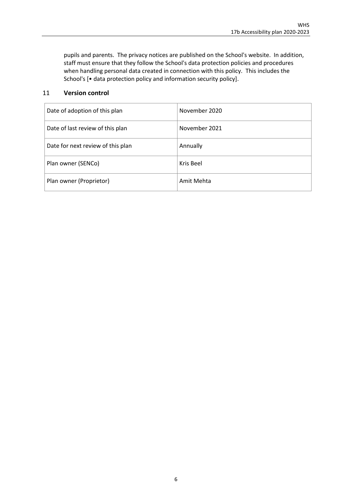pupils and parents. The privacy notices are published on the School's website. In addition, staff must ensure that they follow the School's data protection policies and procedures when handling personal data created in connection with this policy. This includes the School's [• data protection policy and information security policy].

## <span id="page-5-0"></span>11 **Version control**

| Date of adoption of this plan     | November 2020 |
|-----------------------------------|---------------|
| Date of last review of this plan  | November 2021 |
| Date for next review of this plan | Annually      |
| Plan owner (SENCo)                | Kris Beel     |
| Plan owner (Proprietor)           | Amit Mehta    |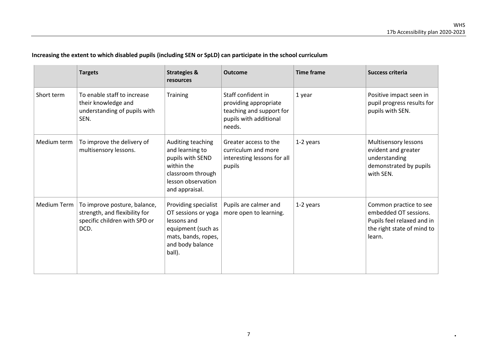## **Increasing the extent to which disabled pupils (including SEN or SpLD) can participate in the school curriculum**

|                    | <b>Targets</b>                                                                                         | <b>Strategies &amp;</b><br>resources                                                                                                  | <b>Outcome</b>                                                                                              | <b>Time frame</b> | Success criteria                                                                                                      |
|--------------------|--------------------------------------------------------------------------------------------------------|---------------------------------------------------------------------------------------------------------------------------------------|-------------------------------------------------------------------------------------------------------------|-------------------|-----------------------------------------------------------------------------------------------------------------------|
| Short term         | To enable staff to increase<br>their knowledge and<br>understanding of pupils with<br>SEN.             | Training                                                                                                                              | Staff confident in<br>providing appropriate<br>teaching and support for<br>pupils with additional<br>needs. | 1 year            | Positive impact seen in<br>pupil progress results for<br>pupils with SEN.                                             |
| Medium term        | To improve the delivery of<br>multisensory lessons.                                                    | Auditing teaching<br>and learning to<br>pupils with SEND<br>within the<br>classroom through<br>lesson observation<br>and appraisal.   | Greater access to the<br>curriculum and more<br>interesting lessons for all<br>pupils                       | 1-2 years         | Multisensory lessons<br>evident and greater<br>understanding<br>demonstrated by pupils<br>with SEN.                   |
| <b>Medium Term</b> | To improve posture, balance,<br>strength, and flexibility for<br>specific children with SPD or<br>DCD. | Providing specialist<br>OT sessions or yoga<br>lessons and<br>equipment (such as<br>mats, bands, ropes,<br>and body balance<br>ball). | Pupils are calmer and<br>more open to learning.                                                             | 1-2 years         | Common practice to see<br>embedded OT sessions.<br>Pupils feel relaxed and in<br>the right state of mind to<br>learn. |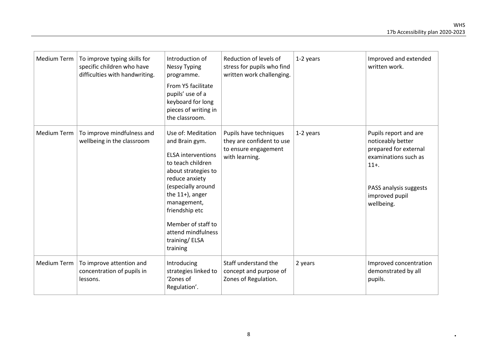| <b>Medium Term</b> | To improve typing skills for<br>specific children who have<br>difficulties with handwriting. | Introduction of<br><b>Nessy Typing</b><br>programme.<br>From Y5 facilitate<br>pupils' use of a<br>keyboard for long<br>pieces of writing in<br>the classroom.                                                                                                                         | Reduction of levels of<br>stress for pupils who find<br>written work challenging.             | 1-2 years | Improved and extended<br>written work.                                                                                                                            |
|--------------------|----------------------------------------------------------------------------------------------|---------------------------------------------------------------------------------------------------------------------------------------------------------------------------------------------------------------------------------------------------------------------------------------|-----------------------------------------------------------------------------------------------|-----------|-------------------------------------------------------------------------------------------------------------------------------------------------------------------|
| <b>Medium Term</b> | To improve mindfulness and<br>wellbeing in the classroom                                     | Use of: Meditation<br>and Brain gym.<br><b>ELSA interventions</b><br>to teach children<br>about strategies to<br>reduce anxiety<br>(especially around<br>the $11+$ ), anger<br>management,<br>friendship etc<br>Member of staff to<br>attend mindfulness<br>training/ELSA<br>training | Pupils have techniques<br>they are confident to use<br>to ensure engagement<br>with learning. | 1-2 years | Pupils report and are<br>noticeably better<br>prepared for external<br>examinations such as<br>$11 +$ .<br>PASS analysis suggests<br>improved pupil<br>wellbeing. |
| Medium Term        | To improve attention and<br>concentration of pupils in<br>lessons.                           | Introducing<br>strategies linked to<br>'Zones of<br>Regulation'.                                                                                                                                                                                                                      | Staff understand the<br>concept and purpose of<br>Zones of Regulation.                        | 2 years   | Improved concentration<br>demonstrated by all<br>pupils.                                                                                                          |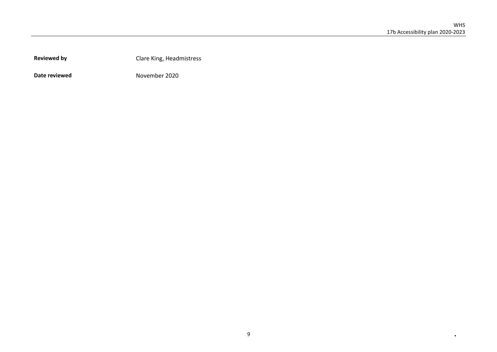**Reviewed by** Clare King, Headmistress

**Date reviewed** November 2020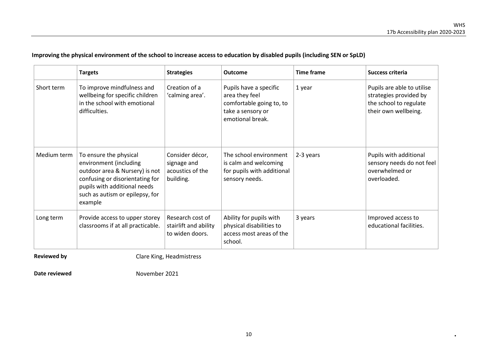|             | <b>Targets</b>                                                                                                                                                                                      | <b>Strategies</b>                                               | Outcome                                                                                                       | <b>Time frame</b> | <b>Success criteria</b>                                                                                |
|-------------|-----------------------------------------------------------------------------------------------------------------------------------------------------------------------------------------------------|-----------------------------------------------------------------|---------------------------------------------------------------------------------------------------------------|-------------------|--------------------------------------------------------------------------------------------------------|
| Short term  | To improve mindfulness and<br>wellbeing for specific children<br>in the school with emotional<br>difficulties.                                                                                      | Creation of a<br>'calming area'.                                | Pupils have a specific<br>area they feel<br>comfortable going to, to<br>take a sensory or<br>emotional break. | 1 year            | Pupils are able to utilise<br>strategies provided by<br>the school to regulate<br>their own wellbeing. |
| Medium term | To ensure the physical<br>environment (including<br>outdoor area & Nursery) is not<br>confusing or disorientating for<br>pupils with additional needs<br>such as autism or epilepsy, for<br>example | Consider décor,<br>signage and<br>acoustics of the<br>building. | The school environment<br>is calm and welcoming<br>for pupils with additional<br>sensory needs.               | 2-3 years         | Pupils with additional<br>sensory needs do not feel<br>overwhelmed or<br>overloaded.                   |
| Long term   | Provide access to upper storey<br>classrooms if at all practicable.                                                                                                                                 | Research cost of<br>stairlift and ability<br>to widen doors.    | Ability for pupils with<br>physical disabilities to<br>access most areas of the<br>school.                    | 3 years           | Improved access to<br>educational facilities.                                                          |

# **Improving the physical environment of the school to increase access to education by disabled pupils (including SEN or SpLD)**

**Reviewed by** Clare King, Headmistress

**Date reviewed** November 2021